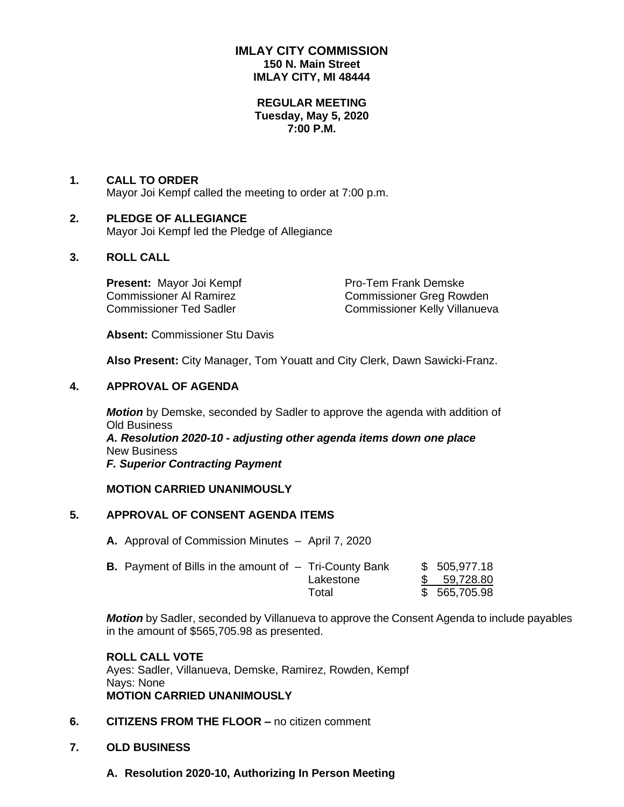## **IMLAY CITY COMMISSION 150 N. Main Street IMLAY CITY, MI 48444**

#### **REGULAR MEETING Tuesday, May 5, 2020 7:00 P.M.**

### **1. CALL TO ORDER** Mayor Joi Kempf called the meeting to order at 7:00 p.m.

#### **2. PLEDGE OF ALLEGIANCE** Mayor Joi Kempf led the Pledge of Allegiance

# **3. ROLL CALL**

**Present:** Mayor Joi Kempf Pro-Tem Frank Demske

Commissioner Al Ramirez Commissioner Greg Rowden Commissioner Ted Sadler Commissioner Kelly Villanueva

**Absent:** Commissioner Stu Davis

**Also Present:** City Manager, Tom Youatt and City Clerk, Dawn Sawicki-Franz.

## **4. APPROVAL OF AGENDA**

*Motion* by Demske, seconded by Sadler to approve the agenda with addition of Old Business *A. Resolution 2020-10 - adjusting other agenda items down one place* New Business

*F. Superior Contracting Payment*

## **MOTION CARRIED UNANIMOUSLY**

# **5. APPROVAL OF CONSENT AGENDA ITEMS**

**A.** Approval of Commission Minutes – April 7, 2020

| <b>B.</b> Payment of Bills in the amount of $-$ Tri-County Bank |           | \$ 505,977.18 |
|-----------------------------------------------------------------|-----------|---------------|
|                                                                 | Lakestone | \$59,728.80   |
|                                                                 | Total     | \$565,705.98  |

*Motion* by Sadler, seconded by Villanueva to approve the Consent Agenda to include payables in the amount of \$565,705.98 as presented.

## **ROLL CALL VOTE**

Ayes: Sadler, Villanueva, Demske, Ramirez, Rowden, Kempf Nays: None **MOTION CARRIED UNANIMOUSLY**

- **6. CITIZENS FROM THE FLOOR –** no citizen comment
- **7. OLD BUSINESS**
	- **A. Resolution 2020-10, Authorizing In Person Meeting**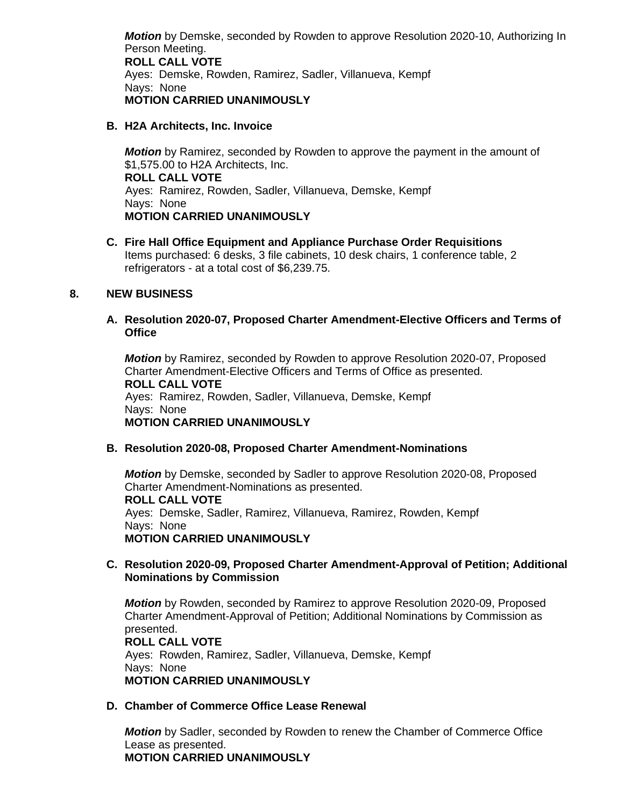*Motion* by Demske, seconded by Rowden to approve Resolution 2020-10, Authorizing In Person Meeting. **ROLL CALL VOTE** Ayes: Demske, Rowden, Ramirez, Sadler, Villanueva, Kempf Nays: None **MOTION CARRIED UNANIMOUSLY**

### **B. H2A Architects, Inc. Invoice**

*Motion* by Ramirez, seconded by Rowden to approve the payment in the amount of \$1,575.00 to H2A Architects, Inc. **ROLL CALL VOTE** Ayes: Ramirez, Rowden, Sadler, Villanueva, Demske, Kempf Nays: None **MOTION CARRIED UNANIMOUSLY**

**C. Fire Hall Office Equipment and Appliance Purchase Order Requisitions** Items purchased: 6 desks, 3 file cabinets, 10 desk chairs, 1 conference table, 2 refrigerators - at a total cost of \$6,239.75.

### **8. NEW BUSINESS**

#### **A. Resolution 2020-07, Proposed Charter Amendment-Elective Officers and Terms of Office**

*Motion* by Ramirez, seconded by Rowden to approve Resolution 2020-07, Proposed Charter Amendment-Elective Officers and Terms of Office as presented. **ROLL CALL VOTE** Ayes: Ramirez, Rowden, Sadler, Villanueva, Demske, Kempf Nays: None **MOTION CARRIED UNANIMOUSLY**

#### **B. Resolution 2020-08, Proposed Charter Amendment-Nominations**

*Motion* by Demske, seconded by Sadler to approve Resolution 2020-08, Proposed Charter Amendment-Nominations as presented. **ROLL CALL VOTE** Ayes: Demske, Sadler, Ramirez, Villanueva, Ramirez, Rowden, Kempf Nays: None **MOTION CARRIED UNANIMOUSLY**

### **C. Resolution 2020-09, Proposed Charter Amendment-Approval of Petition; Additional Nominations by Commission**

*Motion* by Rowden, seconded by Ramirez to approve Resolution 2020-09, Proposed Charter Amendment-Approval of Petition; Additional Nominations by Commission as presented.

**ROLL CALL VOTE** Ayes: Rowden, Ramirez, Sadler, Villanueva, Demske, Kempf Nays: None **MOTION CARRIED UNANIMOUSLY**

## **D. Chamber of Commerce Office Lease Renewal**

*Motion* by Sadler, seconded by Rowden to renew the Chamber of Commerce Office Lease as presented. **MOTION CARRIED UNANIMOUSLY**